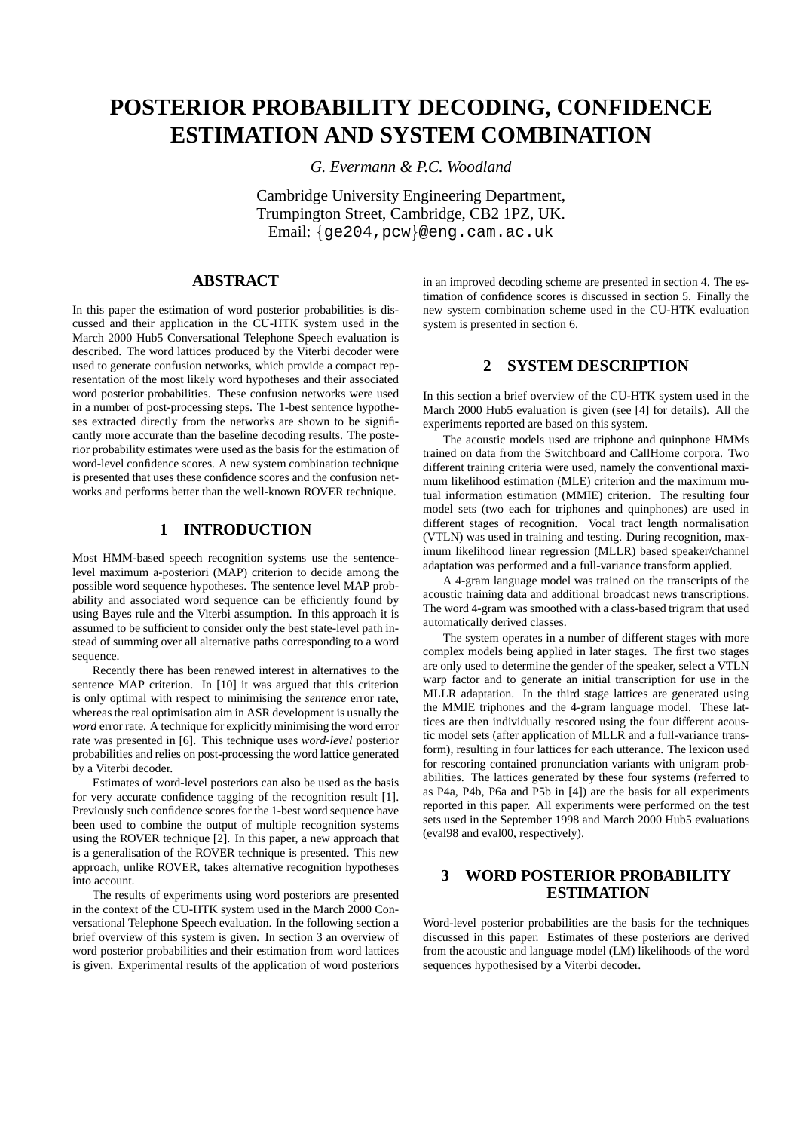# **POSTERIOR PROBABILITY DECODING, CONFIDENCE ESTIMATION AND SYSTEM COMBINATION**

*G. Evermann & P.C. Woodland*

Cambridge University Engineering Department, Trumpington Street, Cambridge, CB2 1PZ, UK. Email: {ge204,pcw}@eng.cam.ac.uk

# **ABSTRACT**

In this paper the estimation of word posterior probabilities is discussed and their application in the CU-HTK system used in the March 2000 Hub5 Conversational Telephone Speech evaluation is described. The word lattices produced by the Viterbi decoder were used to generate confusion networks, which provide a compact representation of the most likely word hypotheses and their associated word posterior probabilities. These confusion networks were used in a number of post-processing steps. The 1-best sentence hypotheses extracted directly from the networks are shown to be significantly more accurate than the baseline decoding results. The posterior probability estimates were used as the basis for the estimation of word-level confidence scores. A new system combination technique is presented that uses these confidence scores and the confusion networks and performs better than the well-known ROVER technique.

## **1 INTRODUCTION**

Most HMM-based speech recognition systems use the sentencelevel maximum a-posteriori (MAP) criterion to decide among the possible word sequence hypotheses. The sentence level MAP probability and associated word sequence can be efficiently found by using Bayes rule and the Viterbi assumption. In this approach it is assumed to be sufficient to consider only the best state-level path instead of summing over all alternative paths corresponding to a word sequence.

Recently there has been renewed interest in alternatives to the sentence MAP criterion. In [10] it was argued that this criterion is only optimal with respect to minimising the *sentence* error rate, whereas the real optimisation aim in ASR development is usually the *word* error rate. A technique for explicitly minimising the word error rate was presented in [6]. This technique uses *word-level* posterior probabilities and relies on post-processing the word lattice generated by a Viterbi decoder.

Estimates of word-level posteriors can also be used as the basis for very accurate confidence tagging of the recognition result [1]. Previously such confidence scores for the 1-best word sequence have been used to combine the output of multiple recognition systems using the ROVER technique [2]. In this paper, a new approach that is a generalisation of the ROVER technique is presented. This new approach, unlike ROVER, takes alternative recognition hypotheses into account.

The results of experiments using word posteriors are presented in the context of the CU-HTK system used in the March 2000 Conversational Telephone Speech evaluation. In the following section a brief overview of this system is given. In section 3 an overview of word posterior probabilities and their estimation from word lattices is given. Experimental results of the application of word posteriors

in an improved decoding scheme are presented in section 4. The estimation of confidence scores is discussed in section 5. Finally the new system combination scheme used in the CU-HTK evaluation system is presented in section 6.

## **2 SYSTEM DESCRIPTION**

In this section a brief overview of the CU-HTK system used in the March 2000 Hub5 evaluation is given (see [4] for details). All the experiments reported are based on this system.

The acoustic models used are triphone and quinphone HMMs trained on data from the Switchboard and CallHome corpora. Two different training criteria were used, namely the conventional maximum likelihood estimation (MLE) criterion and the maximum mutual information estimation (MMIE) criterion. The resulting four model sets (two each for triphones and quinphones) are used in different stages of recognition. Vocal tract length normalisation (VTLN) was used in training and testing. During recognition, maximum likelihood linear regression (MLLR) based speaker/channel adaptation was performed and a full-variance transform applied.

A 4-gram language model was trained on the transcripts of the acoustic training data and additional broadcast news transcriptions. The word 4-gram was smoothed with a class-based trigram that used automatically derived classes.

The system operates in a number of different stages with more complex models being applied in later stages. The first two stages are only used to determine the gender of the speaker, select a VTLN warp factor and to generate an initial transcription for use in the MLLR adaptation. In the third stage lattices are generated using the MMIE triphones and the 4-gram language model. These lattices are then individually rescored using the four different acoustic model sets (after application of MLLR and a full-variance transform), resulting in four lattices for each utterance. The lexicon used for rescoring contained pronunciation variants with unigram probabilities. The lattices generated by these four systems (referred to as P4a, P4b, P6a and P5b in [4]) are the basis for all experiments reported in this paper. All experiments were performed on the test sets used in the September 1998 and March 2000 Hub5 evaluations (eval98 and eval00, respectively).

# **3 WORD POSTERIOR PROBABILITY ESTIMATION**

Word-level posterior probabilities are the basis for the techniques discussed in this paper. Estimates of these posteriors are derived from the acoustic and language model (LM) likelihoods of the word sequences hypothesised by a Viterbi decoder.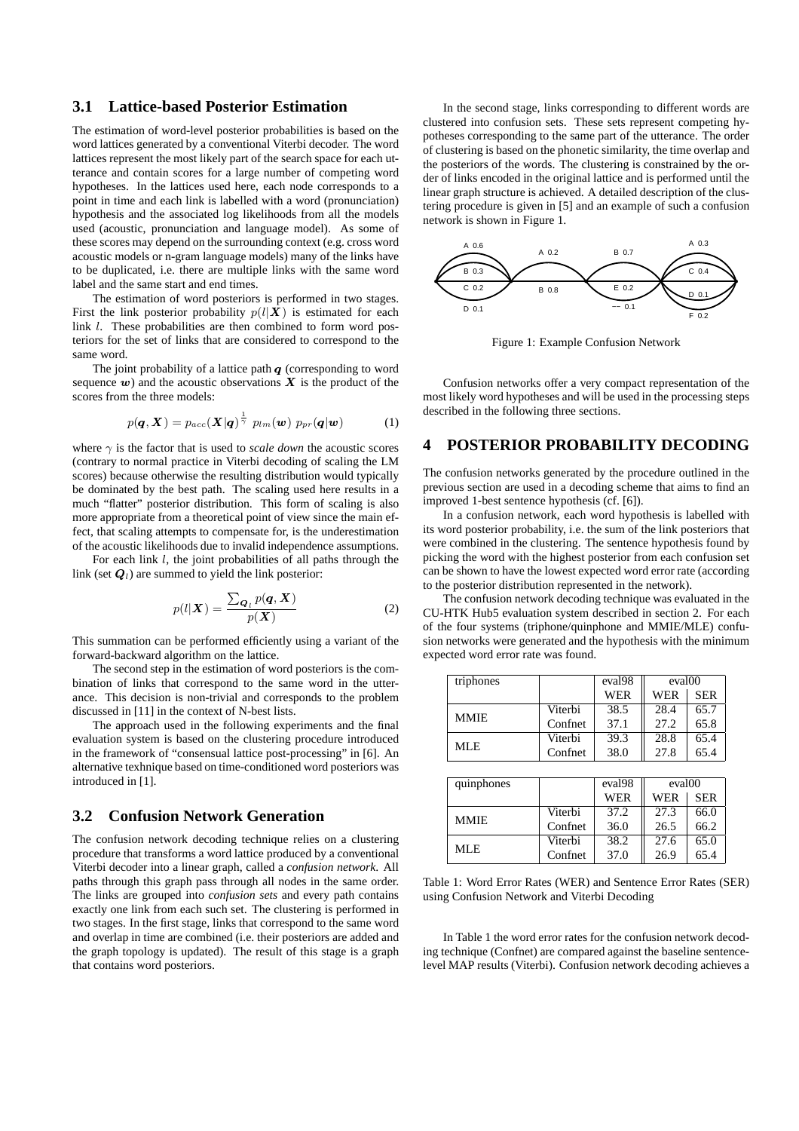## **3.1 Lattice-based Posterior Estimation**

The estimation of word-level posterior probabilities is based on the word lattices generated by a conventional Viterbi decoder. The word lattices represent the most likely part of the search space for each utterance and contain scores for a large number of competing word hypotheses. In the lattices used here, each node corresponds to a point in time and each link is labelled with a word (pronunciation) hypothesis and the associated log likelihoods from all the models used (acoustic, pronunciation and language model). As some of these scores may depend on the surrounding context (e.g. cross word acoustic models or n-gram language models) many of the links have to be duplicated, i.e. there are multiple links with the same word label and the same start and end times.

The estimation of word posteriors is performed in two stages. First the link posterior probability  $p(l|\mathbf{X})$  is estimated for each link *l*. These probabilities are then combined to form word posteriors for the set of links that are considered to correspond to the same word.

The joint probability of a lattice path  $q$  (corresponding to word sequence  $w$ ) and the acoustic observations  $X$  is the product of the scores from the three models:

$$
p(\boldsymbol{q}, \boldsymbol{X}) = p_{acc}(\boldsymbol{X}|\boldsymbol{q})^{\frac{1}{\gamma}} p_{lm}(\boldsymbol{w}) p_{pr}(\boldsymbol{q}|\boldsymbol{w})
$$
 (1)

where  $\gamma$  is the factor that is used to *scale down* the acoustic scores (contrary to normal practice in Viterbi decoding of scaling the LM scores) because otherwise the resulting distribution would typically be dominated by the best path. The scaling used here results in a much "flatter" posterior distribution. This form of scaling is also more appropriate from a theoretical point of view since the main effect, that scaling attempts to compensate for, is the underestimation of the acoustic likelihoods due to invalid independence assumptions.

For each link l, the joint probabilities of all paths through the link (set  $Q_l$ ) are summed to yield the link posterior:

$$
p(l|\mathbf{X}) = \frac{\sum_{\mathbf{Q}_l} p(\mathbf{q}, \mathbf{X})}{p(\mathbf{X})}
$$
 (2)

This summation can be performed efficiently using a variant of the forward-backward algorithm on the lattice.

The second step in the estimation of word posteriors is the combination of links that correspond to the same word in the utterance. This decision is non-trivial and corresponds to the problem discussed in [11] in the context of N-best lists.

The approach used in the following experiments and the final evaluation system is based on the clustering procedure introduced in the framework of "consensual lattice post-processing" in [6]. An alternative texhnique based on time-conditioned word posteriors was introduced in [1].

## **3.2 Confusion Network Generation**

The confusion network decoding technique relies on a clustering procedure that transforms a word lattice produced by a conventional Viterbi decoder into a linear graph, called a *confusion network*. All paths through this graph pass through all nodes in the same order. The links are grouped into *confusion sets* and every path contains exactly one link from each such set. The clustering is performed in two stages. In the first stage, links that correspond to the same word and overlap in time are combined (i.e. their posteriors are added and the graph topology is updated). The result of this stage is a graph that contains word posteriors.

In the second stage, links corresponding to different words are clustered into confusion sets. These sets represent competing hypotheses corresponding to the same part of the utterance. The order of clustering is based on the phonetic similarity, the time overlap and the posteriors of the words. The clustering is constrained by the order of links encoded in the original lattice and is performed until the linear graph structure is achieved. A detailed description of the clustering procedure is given in [5] and an example of such a confusion network is shown in Figure 1.



Figure 1: Example Confusion Network

Confusion networks offer a very compact representation of the most likely word hypotheses and will be used in the processing steps described in the following three sections.

#### **4 POSTERIOR PROBABILITY DECODING**

The confusion networks generated by the procedure outlined in the previous section are used in a decoding scheme that aims to find an improved 1-best sentence hypothesis (cf. [6]).

In a confusion network, each word hypothesis is labelled with its word posterior probability, i.e. the sum of the link posteriors that were combined in the clustering. The sentence hypothesis found by picking the word with the highest posterior from each confusion set can be shown to have the lowest expected word error rate (according to the posterior distribution represented in the network).

The confusion network decoding technique was evaluated in the CU-HTK Hub5 evaluation system described in section 2. For each of the four systems (triphone/quinphone and MMIE/MLE) confusion networks were generated and the hypothesis with the minimum expected word error rate was found.

| triphones   |         | eval <sub>98</sub> | eval <sub>00</sub> |            |
|-------------|---------|--------------------|--------------------|------------|
|             |         | <b>WER</b>         | <b>WER</b>         | <b>SER</b> |
| <b>MMIE</b> | Viterbi | 38.5               | 28.4               | 65.7       |
|             | Confuet | 37.1               | 27.2               | 65.8       |
| MLE         | Viterbi | 39.3               | 28.8               | 65.4       |
|             | Confuet | 38.0               | 27.8               | 65.4       |
|             |         |                    |                    |            |

| quinphones  |         | eval <sub>98</sub> | eval <sub>00</sub> |            |
|-------------|---------|--------------------|--------------------|------------|
|             |         | <b>WER</b>         | <b>WER</b>         | <b>SER</b> |
| <b>MMIE</b> | Viterbi | 37.2               | 27.3               | 66.0       |
|             | Confuet | 36.0               | 26.5               | 66.2       |
| MLE.        | Viterbi | 38.2               | 27.6               | 65.0       |
|             | Confret | 37.0               | 26.9               | 65.4       |

Table 1: Word Error Rates (WER) and Sentence Error Rates (SER) using Confusion Network and Viterbi Decoding

In Table 1 the word error rates for the confusion network decoding technique (Confnet) are compared against the baseline sentencelevel MAP results (Viterbi). Confusion network decoding achieves a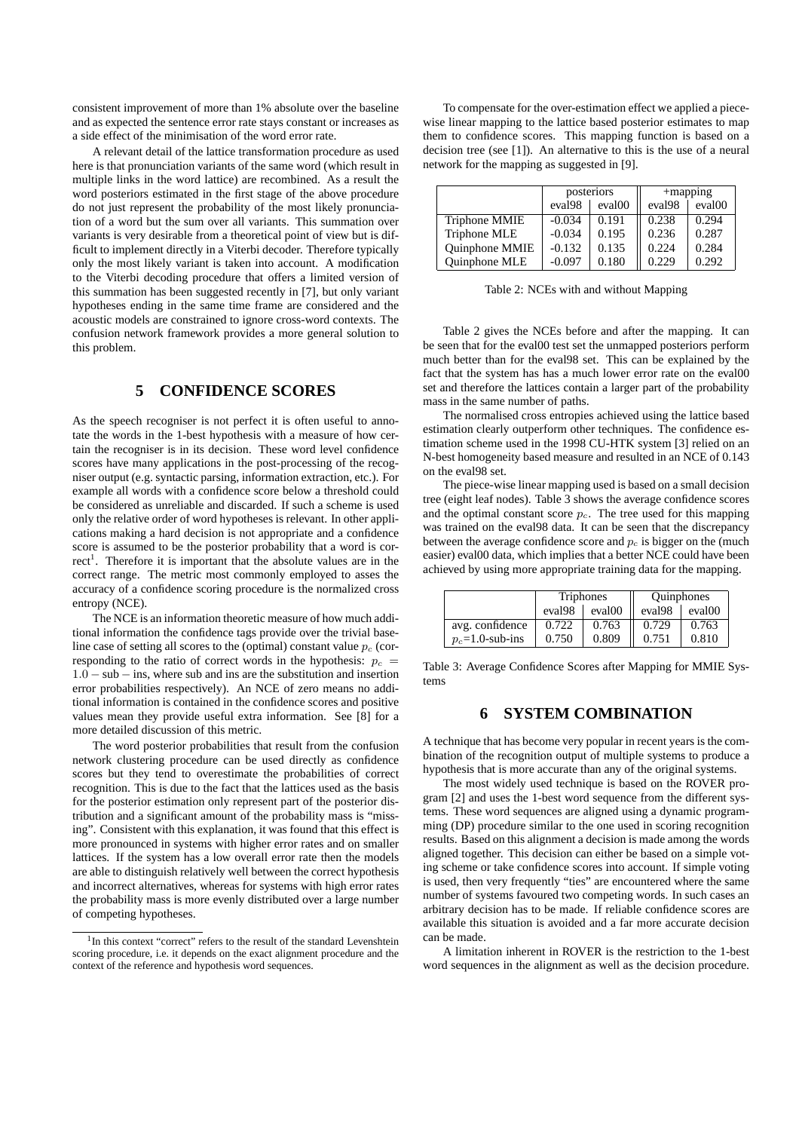consistent improvement of more than 1% absolute over the baseline and as expected the sentence error rate stays constant or increases as a side effect of the minimisation of the word error rate.

A relevant detail of the lattice transformation procedure as used here is that pronunciation variants of the same word (which result in multiple links in the word lattice) are recombined. As a result the word posteriors estimated in the first stage of the above procedure do not just represent the probability of the most likely pronunciation of a word but the sum over all variants. This summation over variants is very desirable from a theoretical point of view but is difficult to implement directly in a Viterbi decoder. Therefore typically only the most likely variant is taken into account. A modification to the Viterbi decoding procedure that offers a limited version of this summation has been suggested recently in [7], but only variant hypotheses ending in the same time frame are considered and the acoustic models are constrained to ignore cross-word contexts. The confusion network framework provides a more general solution to this problem.

# **5 CONFIDENCE SCORES**

As the speech recogniser is not perfect it is often useful to annotate the words in the 1-best hypothesis with a measure of how certain the recogniser is in its decision. These word level confidence scores have many applications in the post-processing of the recogniser output (e.g. syntactic parsing, information extraction, etc.). For example all words with a confidence score below a threshold could be considered as unreliable and discarded. If such a scheme is used only the relative order of word hypotheses is relevant. In other applications making a hard decision is not appropriate and a confidence score is assumed to be the posterior probability that a word is correct<sup>1</sup>. Therefore it is important that the absolute values are in the correct range. The metric most commonly employed to asses the accuracy of a confidence scoring procedure is the normalized cross entropy (NCE).

The NCE is an information theoretic measure of how much additional information the confidence tags provide over the trivial baseline case of setting all scores to the (optimal) constant value  $p_c$  (corresponding to the ratio of correct words in the hypothesis:  $p_c$  =  $1.0 - sub - ins$ , where sub and ins are the substitution and insertion error probabilities respectively). An NCE of zero means no additional information is contained in the confidence scores and positive values mean they provide useful extra information. See [8] for a more detailed discussion of this metric.

The word posterior probabilities that result from the confusion network clustering procedure can be used directly as confidence scores but they tend to overestimate the probabilities of correct recognition. This is due to the fact that the lattices used as the basis for the posterior estimation only represent part of the posterior distribution and a significant amount of the probability mass is "missing". Consistent with this explanation, it was found that this effect is more pronounced in systems with higher error rates and on smaller lattices. If the system has a low overall error rate then the models are able to distinguish relatively well between the correct hypothesis and incorrect alternatives, whereas for systems with high error rates the probability mass is more evenly distributed over a large number of competing hypotheses.

To compensate for the over-estimation effect we applied a piecewise linear mapping to the lattice based posterior estimates to map them to confidence scores. This mapping function is based on a decision tree (see [1]). An alternative to this is the use of a neural network for the mapping as suggested in [9].

|                | posteriors         |                    | $+$ mapping        |                    |
|----------------|--------------------|--------------------|--------------------|--------------------|
|                | eval <sub>98</sub> | eval <sub>00</sub> | eval <sub>98</sub> | eval <sub>00</sub> |
| Triphone MMIE  | $-0.034$           | 0.191              | 0.238              | 0.294              |
| Triphone MLE   | $-0.034$           | 0.195              | 0.236              | 0.287              |
| Quinphone MMIE | $-0.132$           | 0.135              | 0.224              | 0.284              |
| Quinphone MLE  | $-0.097$           | 0.180              | 0.229              | 0.292              |

Table 2: NCEs with and without Mapping

Table 2 gives the NCEs before and after the mapping. It can be seen that for the eval00 test set the unmapped posteriors perform much better than for the eval98 set. This can be explained by the fact that the system has has a much lower error rate on the eval00 set and therefore the lattices contain a larger part of the probability mass in the same number of paths.

The normalised cross entropies achieved using the lattice based estimation clearly outperform other techniques. The confidence estimation scheme used in the 1998 CU-HTK system [3] relied on an N-best homogeneity based measure and resulted in an NCE of 0.143 on the eval98 set.

The piece-wise linear mapping used is based on a small decision tree (eight leaf nodes). Table 3 shows the average confidence scores and the optimal constant score  $p_c$ . The tree used for this mapping was trained on the eval98 data. It can be seen that the discrepancy between the average confidence score and  $p_c$  is bigger on the (much easier) eval00 data, which implies that a better NCE could have been achieved by using more appropriate training data for the mapping.

|                      | Triphones          |                    | Quinphones         |                    |
|----------------------|--------------------|--------------------|--------------------|--------------------|
|                      | eval <sub>98</sub> | eval <sub>00</sub> | eval <sub>98</sub> | eval <sup>00</sup> |
| avg. confidence      | 0.722              | 0.763              | 0.729              | 0.763              |
| $p_c = 1.0$ -sub-ins | 0.750              | 0.809              | 0.751              | 0.810              |

Table 3: Average Confidence Scores after Mapping for MMIE Systems

#### **6 SYSTEM COMBINATION**

A technique that has become very popular in recent years is the combination of the recognition output of multiple systems to produce a hypothesis that is more accurate than any of the original systems.

The most widely used technique is based on the ROVER program [2] and uses the 1-best word sequence from the different systems. These word sequences are aligned using a dynamic programming (DP) procedure similar to the one used in scoring recognition results. Based on this alignment a decision is made among the words aligned together. This decision can either be based on a simple voting scheme or take confidence scores into account. If simple voting is used, then very frequently "ties" are encountered where the same number of systems favoured two competing words. In such cases an arbitrary decision has to be made. If reliable confidence scores are available this situation is avoided and a far more accurate decision can be made.

A limitation inherent in ROVER is the restriction to the 1-best word sequences in the alignment as well as the decision procedure.

<sup>&</sup>lt;sup>1</sup>In this context "correct" refers to the result of the standard Levenshtein scoring procedure, i.e. it depends on the exact alignment procedure and the context of the reference and hypothesis word sequences.